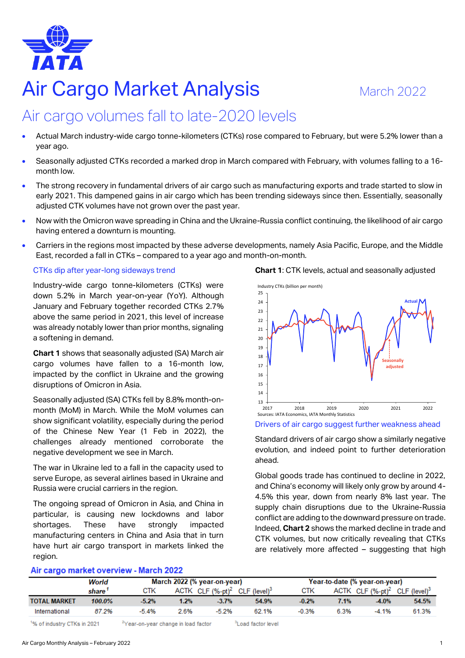

# **Air Cargo Market Analysis** March 2022

## Air cargo volumes fall to late-2020 levels

- Actual March industry-wide cargo tonne-kilometers (CTKs) rose compared to February, but were 5.2% lower than a year ago.
- Seasonally adjusted CTKs recorded a marked drop in March compared with February, with volumes falling to a 16 month low.
- The strong recovery in fundamental drivers of air cargo such as manufacturing exports and trade started to slow in early 2021. This dampened gains in air cargo which has been trending sideways since then. Essentially, seasonally adjusted CTK volumes have not grown over the past year.
- Now with the Omicron wave spreading in China and the Ukraine-Russia conflict continuing, the likelihood of air cargo having entered a downturn is mounting.
- Carriers in the regions most impacted by these adverse developments, namely Asia Pacific, Europe, and the Middle East, recorded a fall in CTKs – compared to a year ago and month-on-month.

### CTKs dip after year-long sideways trend

Industry-wide cargo tonne-kilometers (CTKs) were down 5.2% in March year-on-year (YoY). Although January and February together recorded CTKs 2.7% above the same period in 2021, this level of increase was already notably lower than prior months, signaling a softening in demand.

**Chart 1** shows that seasonally adjusted (SA) March air cargo volumes have fallen to a 16-month low, impacted by the conflict in Ukraine and the growing disruptions of Omicron in Asia.

Seasonally adjusted (SA) CTKs fell by 8.8% month-onmonth (MoM) in March. While the MoM volumes can show significant volatility, especially during the period of the Chinese New Year (1 Feb in 2022), the challenges already mentioned corroborate the negative development we see in March.

The war in Ukraine led to a fall in the capacity used to serve Europe, as several airlines based in Ukraine and Russia were crucial carriers in the region.

The ongoing spread of Omicron in Asia, and China in particular, is causing new lockdowns and labor shortages. These have strongly impacted manufacturing centers in China and Asia that in turn have hurt air cargo transport in markets linked the region.





Drivers of air cargo suggest further weakness ahead

Standard drivers of air cargo show a similarly negative evolution, and indeed point to further deterioration ahead.

Global goods trade has continued to decline in 2022, and China's economy will likely only grow by around 4- 4.5% this year, down from nearly 8% last year. The supply chain disruptions due to the Ukraine-Russia conflict are adding to the downward pressure on trade. Indeed, **Chart 2** shows the marked decline in trade and CTK volumes, but now critically revealing that CTKs are relatively more affected – suggesting that high

| Air cargo market overview - March 2022 |        |         |                             |                                                               |       |            |      |                                                       |       |  |  |  |
|----------------------------------------|--------|---------|-----------------------------|---------------------------------------------------------------|-------|------------|------|-------------------------------------------------------|-------|--|--|--|
|                                        | World  |         | March 2022 (% year-on-year) |                                                               |       |            |      | Year-to-date (% year-on-year)                         |       |  |  |  |
|                                        | share  | CTK     |                             | ACTK CLF $(% _{0}^{\infty},p_{0}^{\infty})$ CLF $(level)^{3}$ |       | <b>CTK</b> |      | ACTK CLF (%-pt) <sup>2</sup> CLF (level) <sup>3</sup> |       |  |  |  |
| <b>TOTAL MARKET</b>                    | 100.0% | $-5.2%$ | 1.2%                        | $-3.7%$                                                       | 54.9% | $-0.2%$    | 7.1% | $-4.0%$                                               | 54.5% |  |  |  |
| International                          | 87.2%  | $-5.4%$ | 2.6%                        | $-5.2%$                                                       | 62.1% | $-0.3%$    | 6.3% | $-4.1%$                                               | 61.3% |  |  |  |
|                                        |        |         |                             |                                                               |       |            |      |                                                       |       |  |  |  |

<sup>1</sup>% of industry CTKs in 2021

<sup>2</sup>Year-on-vear change in load factor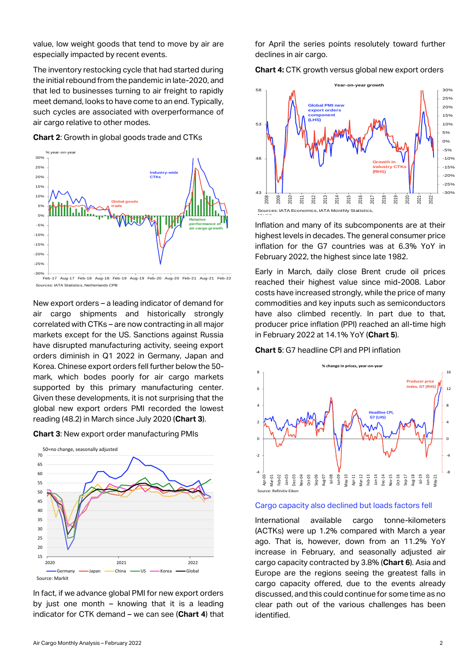value, low weight goods that tend to move by air are especially impacted by recent events.

The inventory restocking cycle that had started during the initial rebound from the pandemic in late-2020, and that led to businesses turning to air freight to rapidly meet demand, looks to have come to an end. Typically, such cycles are associated with overperformance of air cargo relative to other modes.

**Chart 2**: Growth in global goods trade and CTKs



Feb-17 Aug-17 Feb-18 Aug-18 Feb-19 Aug-19 Feb-20 Aug-20 Feb-21 Aug-21 Feb-22 Sources: IATA Statistics, Netherlands CPB

New export orders – a leading indicator of demand for air cargo shipments and historically strongly correlated with CTKs – are now contracting in all major markets except for the US. Sanctions against Russia have disrupted manufacturing activity, seeing export orders diminish in Q1 2022 in Germany, Japan and Korea. Chinese export orders fell further below the 50 mark, which bodes poorly for air cargo markets supported by this primary manufacturing center. Given these developments, it is not surprising that the global new export orders PMI recorded the lowest reading (48.2) in March since July 2020 (**Chart 3**).

**Chart 3**: New export order manufacturing PMIs



In fact, if we advance global PMI for new export orders by just one month – knowing that it is a leading indicator for CTK demand – we can see (**Chart 4**) that for April the series points resolutely toward further declines in air cargo.

**Chart 4:** CTK growth versus global new export orders



Inflation and many of its subcomponents are at their highest levels in decades. The general consumer price inflation for the G7 countries was at 6.3% YoY in February 2022, the highest since late 1982.

Early in March, daily close Brent crude oil prices reached their highest value since mid-2008. Labor costs have increased strongly, while the price of many commodities and key inputs such as semiconductors have also climbed recently. In part due to that, producer price inflation (PPI) reached an all-time high in February 2022 at 14.1% YoY (**Chart 5**).

#### **Chart 5**: G7 headline CPI and PPI inflation



#### Cargo capacity also declined but loads factors fell

International available cargo tonne-kilometers (ACTKs) were up 1.2% compared with March a year ago. That is, however, down from an 11.2% YoY increase in February, and seasonally adjusted air cargo capacity contracted by 3.8% (**Chart 6**). Asia and Europe are the regions seeing the greatest falls in cargo capacity offered, due to the events already discussed, and this could continue for some time as no clear path out of the various challenges has been identified.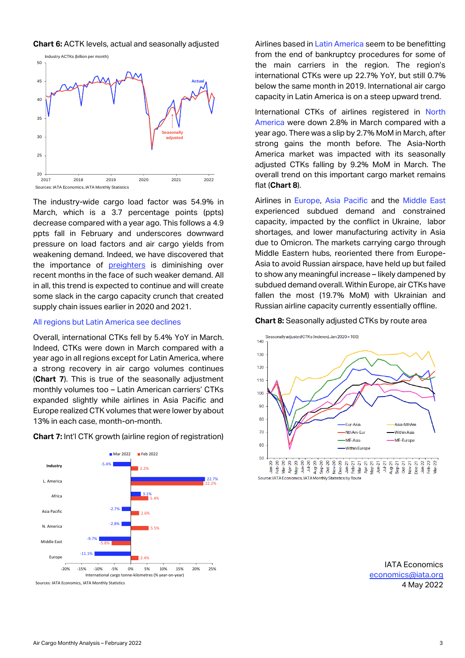**Chart 6:** ACTK levels, actual and seasonally adjusted



The industry-wide cargo load factor was 54.9% in March, which is a 3.7 percentage points (ppts) decrease compared with a year ago. This follows a 4.9 ppts fall in February and underscores downward pressure on load factors and air cargo yields from weakening demand. Indeed, we have discovered that the importance of [preighters](https://www.iata.org/en/iata-repository/publications/economic-reports/the-importance-of-preighters-seems-to-start-to-diminish/) is diminishing over recent months in the face of such weaker demand. All in all, this trend is expected to continue and will create some slack in the cargo capacity crunch that created supply chain issues earlier in 2020 and 2021.

#### All regions but Latin America see declines

Overall, international CTKs fell by 5.4% YoY in March. Indeed, CTKs were down in March compared with a year ago in all regions except for Latin America, where a strong recovery in air cargo volumes continues (**Chart 7**). This is true of the seasonally adjustment monthly volumes too – Latin American carriers' CTKs expanded slightly while airlines in Asia Pacific and Europe realized CTK volumes that were lower by about 13% in each case, month-on-month.





Sources: IATA Economics, IATA Monthly Statistics

Airlines based in Latin America seem to be benefitting from the end of bankruptcy procedures for some of the main carriers in the region. The region's international CTKs were up 22.7% YoY, but still 0.7% below the same month in 2019. International air cargo capacity in Latin America is on a steep upward trend.

International CTKs of airlines registered in North America were down 2.8% in March compared with a year ago. There was a slip by 2.7% MoM in March, after strong gains the month before. The Asia-North America market was impacted with its seasonally adjusted CTKs falling by 9.2% MoM in March. The overall trend on this important cargo market remains flat (**Chart 8**).

Airlines in Europe, Asia Pacific and the Middle East experienced subdued demand and constrained capacity, impacted by the conflict in Ukraine, labor shortages, and lower manufacturing activity in Asia due to Omicron. The markets carrying cargo through Middle Eastern hubs, reoriented there from Europe-Asia to avoid Russian airspace, have held up but failed to show any meaningful increase – likely dampened by subdued demand overall. Within Europe, air CTKs have fallen the most (19.7% MoM) with Ukrainian and Russian airline capacity currently essentially offline.

#### **Chart 8:** Seasonally adjusted CTKs by route area



IATA Economics [economics@iata.org](mailto:economics@iata.org) 4 May 2022